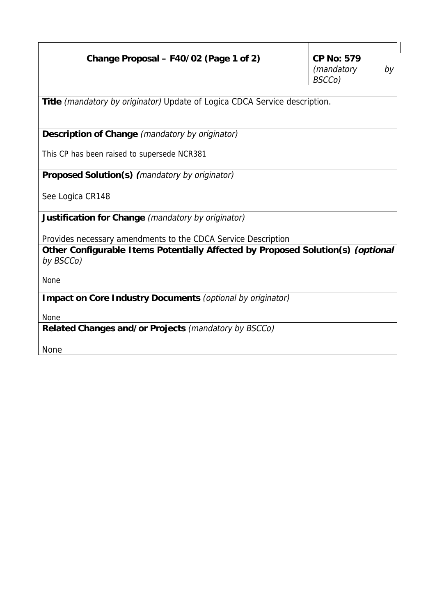| Change Proposal – F40/02 (Page 1 of 2)                                                       | <b>CP No: 579</b><br>(mandatory<br>by |  |  |  |
|----------------------------------------------------------------------------------------------|---------------------------------------|--|--|--|
|                                                                                              | BSCCo)                                |  |  |  |
| Title (mandatory by originator) Update of Logica CDCA Service description.                   |                                       |  |  |  |
| Description of Change (mandatory by originator)                                              |                                       |  |  |  |
| This CP has been raised to supersede NCR381                                                  |                                       |  |  |  |
| <b>Proposed Solution(s)</b> (mandatory by originator)                                        |                                       |  |  |  |
| See Logica CR148                                                                             |                                       |  |  |  |
| Justification for Change (mandatory by originator)                                           |                                       |  |  |  |
| Provides necessary amendments to the CDCA Service Description                                |                                       |  |  |  |
| Other Configurable Items Potentially Affected by Proposed Solution(s) (optional<br>by BSCCo) |                                       |  |  |  |
| None                                                                                         |                                       |  |  |  |
| Impact on Core Industry Documents (optional by originator)                                   |                                       |  |  |  |
| <b>None</b>                                                                                  |                                       |  |  |  |
| Related Changes and/or Projects (mandatory by BSCCo)                                         |                                       |  |  |  |
| <b>None</b>                                                                                  |                                       |  |  |  |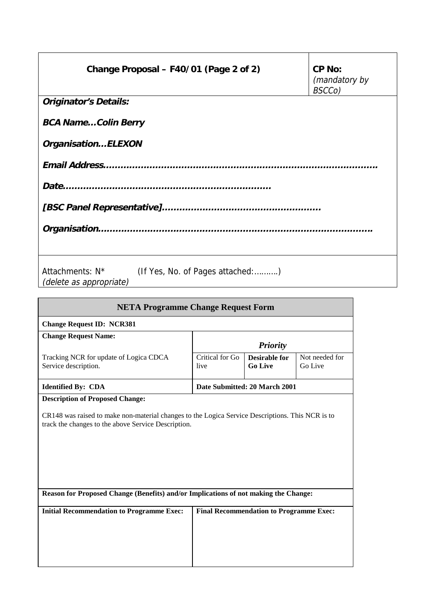| Change Proposal - F40/01 (Page 2 of 2)                                                     | CP No:<br>(mandatory by<br>BSCCo) |  |  |  |
|--------------------------------------------------------------------------------------------|-----------------------------------|--|--|--|
| <b>Originator's Details:</b>                                                               |                                   |  |  |  |
| <b>BCA NameColin Berry</b>                                                                 |                                   |  |  |  |
| OrganisationELEXON                                                                         |                                   |  |  |  |
|                                                                                            |                                   |  |  |  |
|                                                                                            |                                   |  |  |  |
|                                                                                            |                                   |  |  |  |
|                                                                                            |                                   |  |  |  |
| Attachments: N <sup>*</sup><br>(If Yes, No. of Pages attached:)<br>(delete as appropriate) |                                   |  |  |  |

| <b>NETA Programme Change Request Form</b>                                                                                                                                                         |                               |                                                |                           |  |  |
|---------------------------------------------------------------------------------------------------------------------------------------------------------------------------------------------------|-------------------------------|------------------------------------------------|---------------------------|--|--|
| <b>Change Request ID: NCR381</b>                                                                                                                                                                  |                               |                                                |                           |  |  |
| <b>Change Request Name:</b>                                                                                                                                                                       | <b>Priority</b>               |                                                |                           |  |  |
| Tracking NCR for update of Logica CDCA<br>Service description.                                                                                                                                    | Critical for Go<br>live       | <b>Desirable for</b><br><b>Go Live</b>         | Not needed for<br>Go Live |  |  |
| <b>Identified By: CDA</b>                                                                                                                                                                         | Date Submitted: 20 March 2001 |                                                |                           |  |  |
| <b>Description of Proposed Change:</b><br>CR148 was raised to make non-material changes to the Logica Service Descriptions. This NCR is to<br>track the changes to the above Service Description. |                               |                                                |                           |  |  |
| Reason for Proposed Change (Benefits) and/or Implications of not making the Change:                                                                                                               |                               |                                                |                           |  |  |
| <b>Initial Recommendation to Programme Exec:</b>                                                                                                                                                  |                               | <b>Final Recommendation to Programme Exec:</b> |                           |  |  |